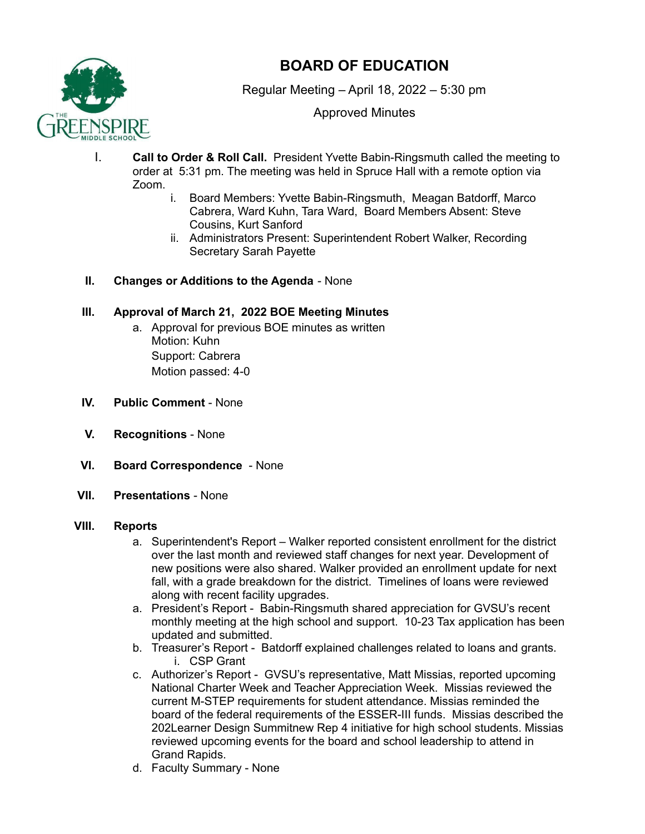

# **BOARD OF EDUCATION**

Regular Meeting – April 18, 2022 – 5:30 pm

Approved Minutes

- I. **Call to Order & Roll Call.** President Yvette Babin-Ringsmuth called the meeting to order at 5:31 pm. The meeting was held in Spruce Hall with a remote option via Zoom.
	- i. Board Members: Yvette Babin-Ringsmuth, Meagan Batdorff, Marco Cabrera, Ward Kuhn, Tara Ward, Board Members Absent: Steve Cousins, Kurt Sanford
	- ii. Administrators Present: Superintendent Robert Walker, Recording Secretary Sarah Payette
- **II. Changes or Additions to the Agenda** None

## **III. Approval of March 21, 2022 BOE Meeting Minutes**

- a. Approval for previous BOE minutes as written Motion: Kuhn Support: Cabrera Motion passed: 4-0
- **IV. Public Comment** None
- **V. Recognitions** None
- **VI. Board Correspondence** None
- **VII. Presentations** None

### **VIII. Reports**

- a. Superintendent's Report Walker reported consistent enrollment for the district over the last month and reviewed staff changes for next year. Development of new positions were also shared. Walker provided an enrollment update for next fall, with a grade breakdown for the district. Timelines of loans were reviewed along with recent facility upgrades.
- a. President's Report Babin-Ringsmuth shared appreciation for GVSU's recent monthly meeting at the high school and support. 10-23 Tax application has been updated and submitted.
- b. Treasurer's Report Batdorff explained challenges related to loans and grants. i. CSP Grant
- c. Authorizer's Report GVSU's representative, Matt Missias, reported upcoming National Charter Week and Teacher Appreciation Week. Missias reviewed the current M-STEP requirements for student attendance. Missias reminded the board of the federal requirements of the ESSER-III funds. Missias described the 202Learner Design Summitnew Rep 4 initiative for high school students. Missias reviewed upcoming events for the board and school leadership to attend in Grand Rapids.
- d. Faculty Summary None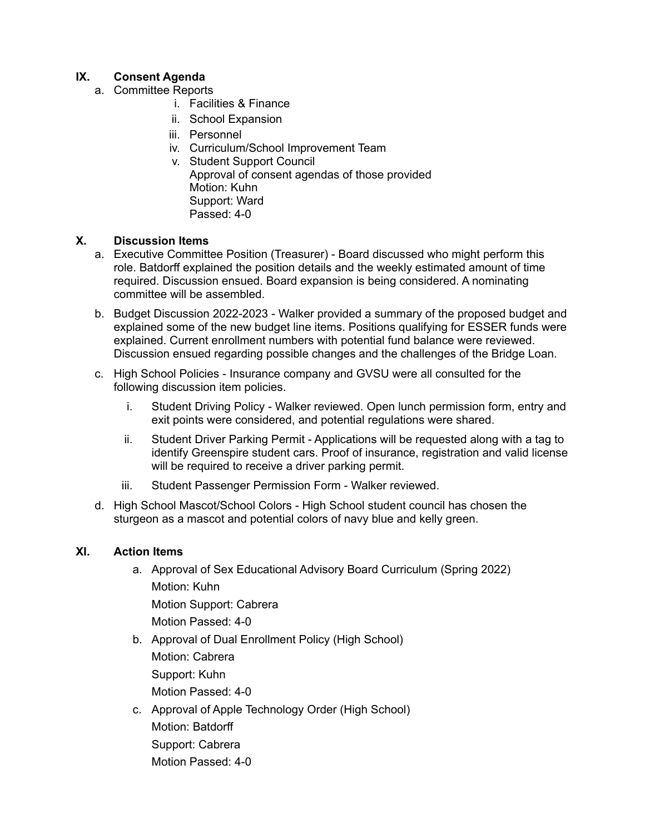# **IX. Consent Agenda**

- a. Committee Reports
	- i. Facilities & Finance
	- ii. School Expansion
	- iii. Personnel
	- iv. Curriculum/School Improvement Team
	- v. Student Support Council Approval of consent agendas of those provided Motion: Kuhn Support: Ward Passed: 4-0

#### **X. Discussion Items**

- a. Executive Committee Position (Treasurer) Board discussed who might perform this role. Batdorff explained the position details and the weekly estimated amount of time required. Discussion ensued. Board expansion is being considered. A nominating committee will be assembled.
- b. Budget Discussion 2022-2023 Walker provided a summary of the proposed budget and explained some of the new budget line items. Positions qualifying for ESSER funds were explained. Current enrollment numbers with potential fund balance were reviewed. Discussion ensued regarding possible changes and the challenges of the Bridge Loan.
- c. High School Policies Insurance company and GVSU were all consulted for the following discussion item policies.
	- i. Student Driving Policy Walker reviewed. Open lunch permission form, entry and exit points were considered, and potential regulations were shared.
	- ii. Student Driver Parking Permit Applications will be requested along with a tag to identify Greenspire student cars. Proof of insurance, registration and valid license will be required to receive a driver parking permit.
	- iii. Student Passenger Permission Form Walker reviewed.
- d. High School Mascot/School Colors High School student council has chosen the sturgeon as a mascot and potential colors of navy blue and kelly green.

#### **XI. Action Items**

- a. Approval of Sex Educational Advisory Board Curriculum (Spring 2022) Motion: Kuhn Motion Support: Cabrera Motion Passed: 4-0
- b. Approval of Dual Enrollment Policy (High School) Motion: Cabrera Support: Kuhn Motion Passed: 4-0
- c. Approval of Apple Technology Order (High School) Motion: Batdorff Support: Cabrera Motion Passed: 4-0